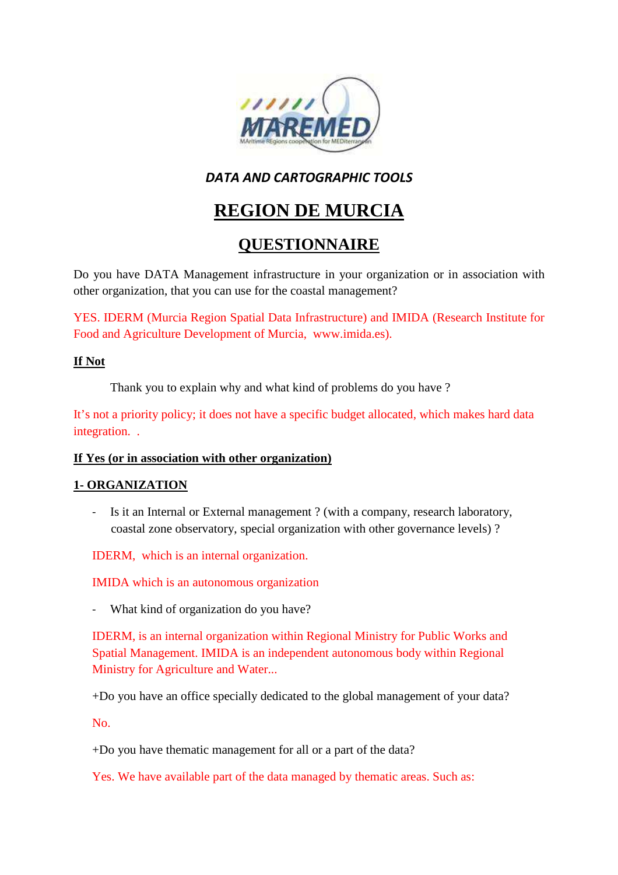

### *DATA AND CARTOGRAPHIC TOOLS*

# **REGION DE MURCIA**

## **QUESTIONNAIRE**

Do you have DATA Management infrastructure in your organization or in association with other organization, that you can use for the coastal management?

YES. IDERM (Murcia Region Spatial Data Infrastructure) and IMIDA (Research Institute for Food and Agriculture Development of Murcia, www.imida.es).

### **If Not**

Thank you to explain why and what kind of problems do you have ?

It's not a priority policy; it does not have a specific budget allocated, which makes hard data integration. .

### **If Yes (or in association with other organization)**

### **1- ORGANIZATION**

Is it an Internal or External management ? (with a company, research laboratory, coastal zone observatory, special organization with other governance levels) ?

IDERM, which is an internal organization.

IMIDA which is an autonomous organization

What kind of organization do you have?

IDERM, is an internal organization within Regional Ministry for Public Works and Spatial Management. IMIDA is an independent autonomous body within Regional Ministry for Agriculture and Water...

+Do you have an office specially dedicated to the global management of your data?

No.

+Do you have thematic management for all or a part of the data?

Yes. We have available part of the data managed by thematic areas. Such as: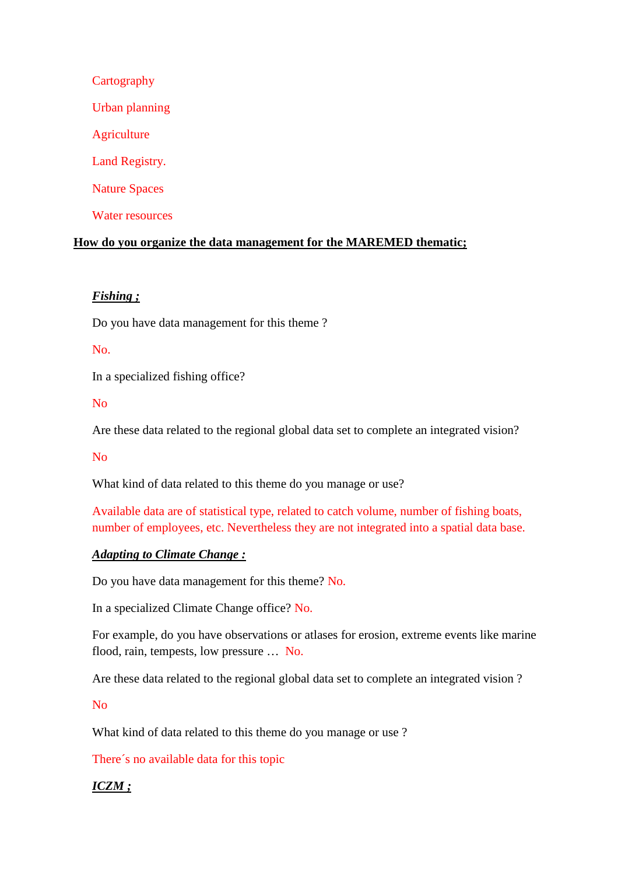# **Cartography** Urban planning **Agriculture** Land Registry. Nature Spaces Water resources

### **How do you organize the data management for the MAREMED thematic;**

### *Fishing ;*

Do you have data management for this theme ?

### No.

In a specialized fishing office?

No

Are these data related to the regional global data set to complete an integrated vision?

No

What kind of data related to this theme do you manage or use?

Available data are of statistical type, related to catch volume, number of fishing boats, number of employees, etc. Nevertheless they are not integrated into a spatial data base.

### *Adapting to Climate Change :*

Do you have data management for this theme? No.

In a specialized Climate Change office? No.

For example, do you have observations or atlases for erosion, extreme events like marine flood, rain, tempests, low pressure … No.

Are these data related to the regional global data set to complete an integrated vision ?

No

What kind of data related to this theme do you manage or use ?

There´s no available data for this topic

### *ICZM ;*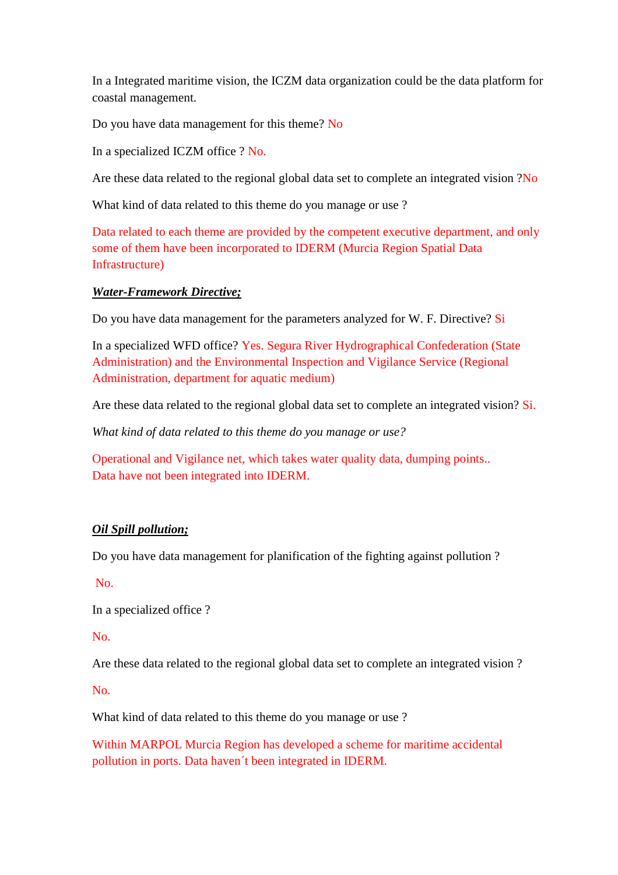In a Integrated maritime vision, the ICZM data organization could be the data platform for coastal management.

Do you have data management for this theme? No

In a specialized ICZM office ? No.

Are these data related to the regional global data set to complete an integrated vision ?No

What kind of data related to this theme do you manage or use ?

Data related to each theme are provided by the competent executive department, and only some of them have been incorporated to IDERM (Murcia Region Spatial Data Infrastructure)

### *Water-Framework Directive;*

Do you have data management for the parameters analyzed for W. F. Directive? Si

In a specialized WFD office? Yes. Segura River Hydrographical Confederation (State Administration) and the Environmental Inspection and Vigilance Service (Regional Administration, department for aquatic medium)

Are these data related to the regional global data set to complete an integrated vision? Si.

*What kind of data related to this theme do you manage or use?* 

Operational and Vigilance net, which takes water quality data, dumping points.. Data have not been integrated into IDERM.

### *Oil Spill pollution;*

Do you have data management for planification of the fighting against pollution ?

No.

In a specialized office ?

No.

Are these data related to the regional global data set to complete an integrated vision ?

No.

What kind of data related to this theme do you manage or use ?

Within MARPOL Murcia Region has developed a scheme for maritime accidental pollution in ports. Data haven´t been integrated in IDERM.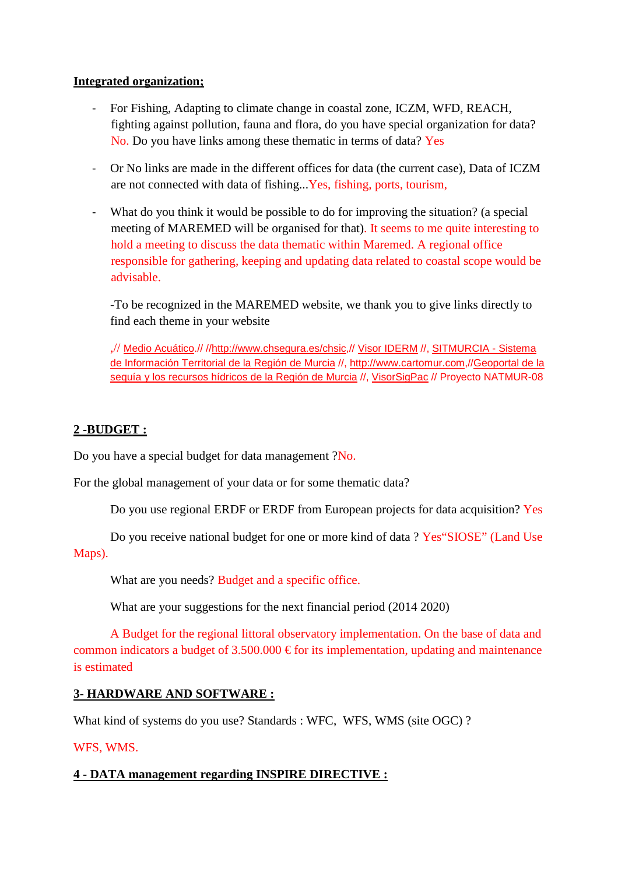### **Integrated organization;**

- For Fishing, Adapting to climate change in coastal zone, ICZM, WFD, REACH, fighting against pollution, fauna and flora, do you have special organization for data? No. Do you have links among these thematic in terms of data? Yes
- Or No links are made in the different offices for data (the current case), Data of ICZM are not connected with data of fishing...Yes, fishing, ports, tourism,
- What do you think it would be possible to do for improving the situation? (a special meeting of MAREMED will be organised for that). It seems to me quite interesting to hold a meeting to discuss the data thematic within Maremed. A regional office responsible for gathering, keeping and updating data related to coastal scope would be advisable.

-To be recognized in the MAREMED website, we thank you to give links directly to find each theme in your website

,// Medio Acuático.// //http://www.chsegura.es/chsic,// Visor IDERM //, SITMURCIA - Sistema de Información Territorial de la Región de Murcia //, http://www.cartomur.com,//Geoportal de la sequía y los recursos hídricos de la Región de Murcia //, VisorSigPac // Proyecto NATMUR-08

### **2 -BUDGET :**

Do you have a special budget for data management ?No.

For the global management of your data or for some thematic data?

Do you use regional ERDF or ERDF from European projects for data acquisition? Yes

Do you receive national budget for one or more kind of data ? Yes"SIOSE" (Land Use Maps).

What are you needs? Budget and a specific office.

What are your suggestions for the next financial period (2014 2020)

A Budget for the regional littoral observatory implementation. On the base of data and common indicators a budget of 3.500.000  $\epsilon$  for its implementation, updating and maintenance is estimated

### **3- HARDWARE AND SOFTWARE :**

What kind of systems do you use? Standards : WFC, WFS, WMS (site OGC) ?

### WFS, WMS.

### **4 - DATA management regarding INSPIRE DIRECTIVE :**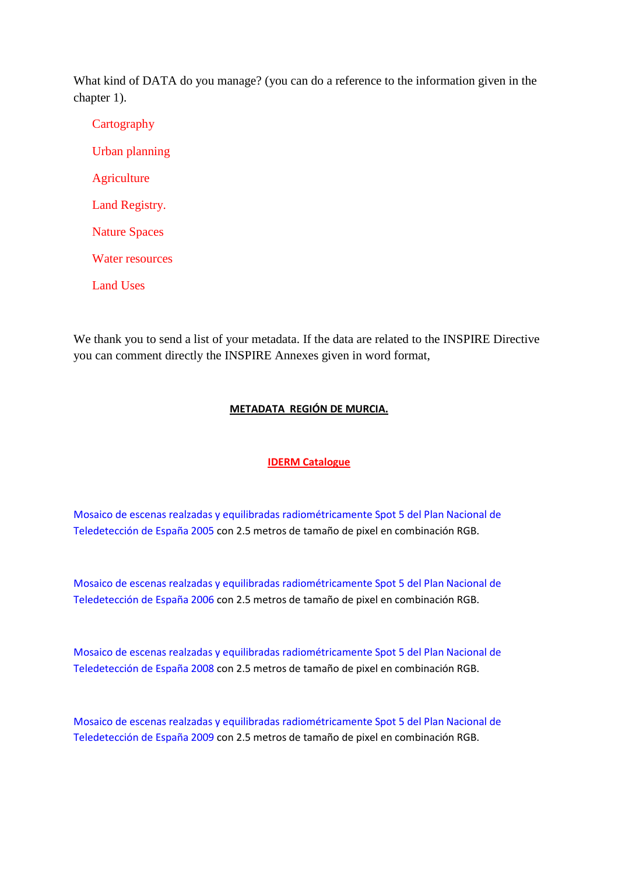What kind of DATA do you manage? (you can do a reference to the information given in the chapter 1).

**Cartography** Urban planning **Agriculture** Land Registry. Nature Spaces Water resources

Land Uses

We thank you to send a list of your metadata. If the data are related to the INSPIRE Directive you can comment directly the INSPIRE Annexes given in word format,

### **METADATA REGIÓN DE MURCIA.**

### **IDERM Catalogue**

Mosaico de escenas realzadas y equilibradas radiométricamente Spot 5 del Plan Nacional de Teledetección de España 2005 con 2.5 metros de tamaño de pixel en combinación RGB.

Mosaico de escenas realzadas y equilibradas radiométricamente Spot 5 del Plan Nacional de Teledetección de España 2006 con 2.5 metros de tamaño de pixel en combinación RGB.

Mosaico de escenas realzadas y equilibradas radiométricamente Spot 5 del Plan Nacional de Teledetección de España 2008 con 2.5 metros de tamaño de pixel en combinación RGB.

Mosaico de escenas realzadas y equilibradas radiométricamente Spot 5 del Plan Nacional de Teledetección de España 2009 con 2.5 metros de tamaño de pixel en combinación RGB.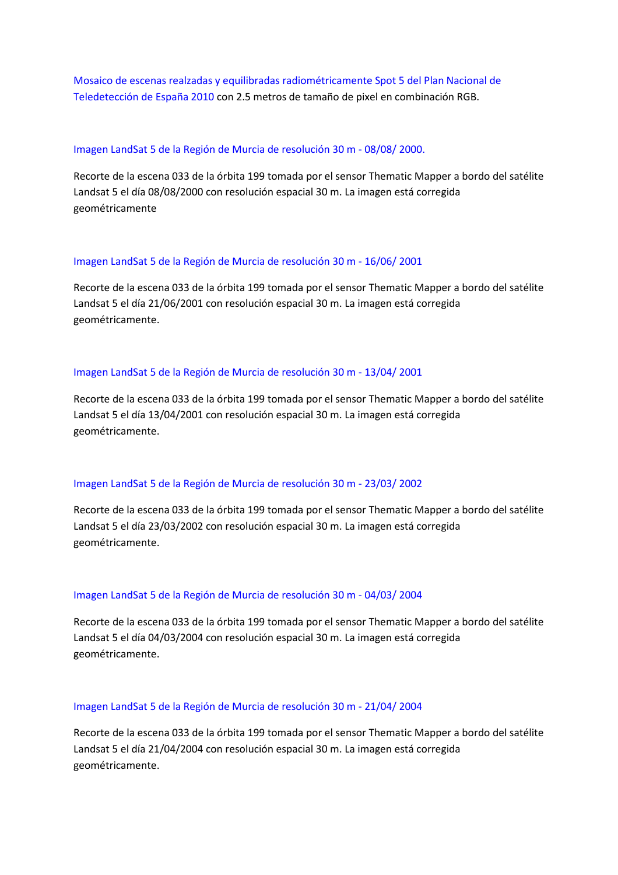Mosaico de escenas realzadas y equilibradas radiométricamente Spot 5 del Plan Nacional de Teledetección de España 2010 con 2.5 metros de tamaño de pixel en combinación RGB.

#### Imagen LandSat 5 de la Región de Murcia de resolución 30 m - 08/08/ 2000.

Recorte de la escena 033 de la órbita 199 tomada por el sensor Thematic Mapper a bordo del satélite Landsat 5 el día 08/08/2000 con resolución espacial 30 m. La imagen está corregida geométricamente

#### Imagen LandSat 5 de la Región de Murcia de resolución 30 m - 16/06/ 2001

Recorte de la escena 033 de la órbita 199 tomada por el sensor Thematic Mapper a bordo del satélite Landsat 5 el día 21/06/2001 con resolución espacial 30 m. La imagen está corregida geométricamente.

#### Imagen LandSat 5 de la Región de Murcia de resolución 30 m - 13/04/ 2001

Recorte de la escena 033 de la órbita 199 tomada por el sensor Thematic Mapper a bordo del satélite Landsat 5 el día 13/04/2001 con resolución espacial 30 m. La imagen está corregida geométricamente.

#### Imagen LandSat 5 de la Región de Murcia de resolución 30 m - 23/03/ 2002

Recorte de la escena 033 de la órbita 199 tomada por el sensor Thematic Mapper a bordo del satélite Landsat 5 el día 23/03/2002 con resolución espacial 30 m. La imagen está corregida geométricamente.

#### Imagen LandSat 5 de la Región de Murcia de resolución 30 m - 04/03/ 2004

Recorte de la escena 033 de la órbita 199 tomada por el sensor Thematic Mapper a bordo del satélite Landsat 5 el día 04/03/2004 con resolución espacial 30 m. La imagen está corregida geométricamente.

#### Imagen LandSat 5 de la Región de Murcia de resolución 30 m - 21/04/ 2004

Recorte de la escena 033 de la órbita 199 tomada por el sensor Thematic Mapper a bordo del satélite Landsat 5 el día 21/04/2004 con resolución espacial 30 m. La imagen está corregida geométricamente.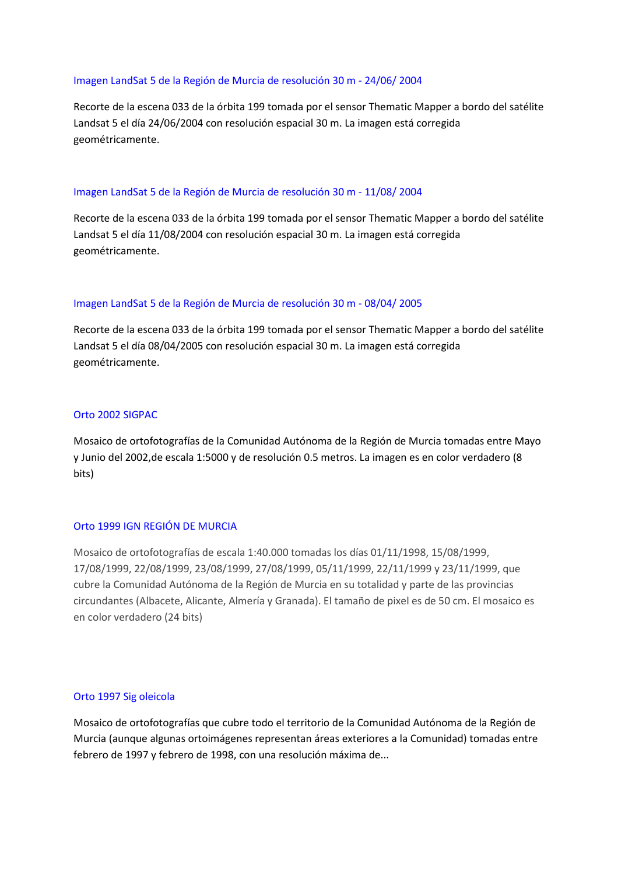#### Imagen LandSat 5 de la Región de Murcia de resolución 30 m - 24/06/ 2004

Recorte de la escena 033 de la órbita 199 tomada por el sensor Thematic Mapper a bordo del satélite Landsat 5 el día 24/06/2004 con resolución espacial 30 m. La imagen está corregida geométricamente.

#### Imagen LandSat 5 de la Región de Murcia de resolución 30 m - 11/08/ 2004

Recorte de la escena 033 de la órbita 199 tomada por el sensor Thematic Mapper a bordo del satélite Landsat 5 el día 11/08/2004 con resolución espacial 30 m. La imagen está corregida geométricamente.

#### Imagen LandSat 5 de la Región de Murcia de resolución 30 m - 08/04/ 2005

Recorte de la escena 033 de la órbita 199 tomada por el sensor Thematic Mapper a bordo del satélite Landsat 5 el día 08/04/2005 con resolución espacial 30 m. La imagen está corregida geométricamente.

#### Orto 2002 SIGPAC

Mosaico de ortofotografías de la Comunidad Autónoma de la Región de Murcia tomadas entre Mayo y Junio del 2002,de escala 1:5000 y de resolución 0.5 metros. La imagen es en color verdadero (8 bits)

#### Orto 1999 IGN REGIÓN DE MURCIA

Mosaico de ortofotografías de escala 1:40.000 tomadas los días 01/11/1998, 15/08/1999, 17/08/1999, 22/08/1999, 23/08/1999, 27/08/1999, 05/11/1999, 22/11/1999 y 23/11/1999, que cubre la Comunidad Autónoma de la Región de Murcia en su totalidad y parte de las provincias circundantes (Albacete, Alicante, Almería y Granada). El tamaño de pixel es de 50 cm. El mosaico es en color verdadero (24 bits)

#### Orto 1997 Sig oleicola

Mosaico de ortofotografías que cubre todo el territorio de la Comunidad Autónoma de la Región de Murcia (aunque algunas ortoimágenes representan áreas exteriores a la Comunidad) tomadas entre febrero de 1997 y febrero de 1998, con una resolución máxima de...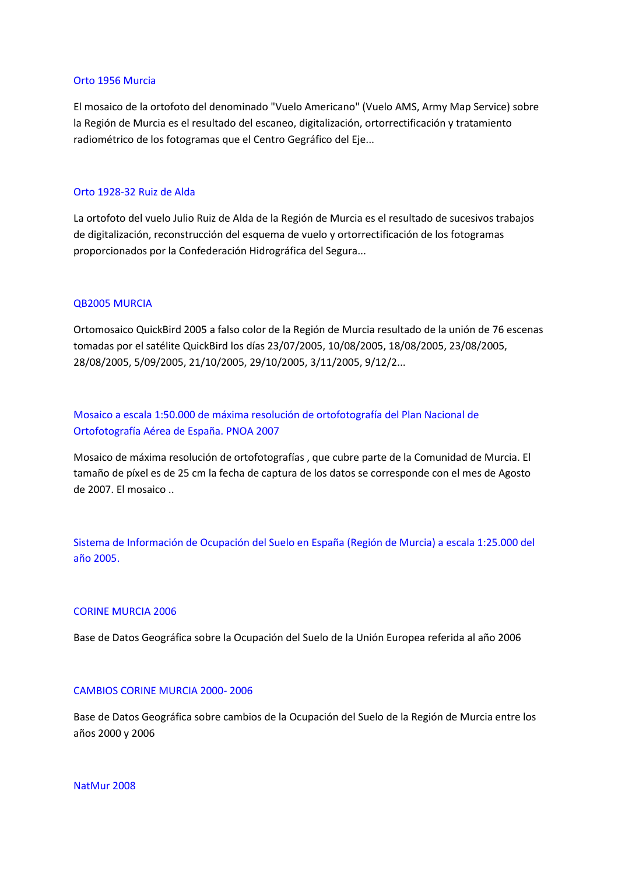#### Orto 1956 Murcia

El mosaico de la ortofoto del denominado "Vuelo Americano" (Vuelo AMS, Army Map Service) sobre la Región de Murcia es el resultado del escaneo, digitalización, ortorrectificación y tratamiento radiométrico de los fotogramas que el Centro Gegráfico del Eje...

#### Orto 1928-32 Ruiz de Alda

La ortofoto del vuelo Julio Ruiz de Alda de la Región de Murcia es el resultado de sucesivos trabajos de digitalización, reconstrucción del esquema de vuelo y ortorrectificación de los fotogramas proporcionados por la Confederación Hidrográfica del Segura...

#### QB2005 MURCIA

Ortomosaico QuickBird 2005 a falso color de la Región de Murcia resultado de la unión de 76 escenas tomadas por el satélite QuickBird los días 23/07/2005, 10/08/2005, 18/08/2005, 23/08/2005, 28/08/2005, 5/09/2005, 21/10/2005, 29/10/2005, 3/11/2005, 9/12/2...

Mosaico a escala 1:50.000 de máxima resolución de ortofotografía del Plan Nacional de Ortofotografía Aérea de España. PNOA 2007

Mosaico de máxima resolución de ortofotografías , que cubre parte de la Comunidad de Murcia. El tamaño de píxel es de 25 cm la fecha de captura de los datos se corresponde con el mes de Agosto de 2007. El mosaico ..

Sistema de Información de Ocupación del Suelo en España (Región de Murcia) a escala 1:25.000 del año 2005.

#### CORINE MURCIA 2006

Base de Datos Geográfica sobre la Ocupación del Suelo de la Unión Europea referida al año 2006

#### CAMBIOS CORINE MURCIA 2000- 2006

Base de Datos Geográfica sobre cambios de la Ocupación del Suelo de la Región de Murcia entre los años 2000 y 2006

NatMur 2008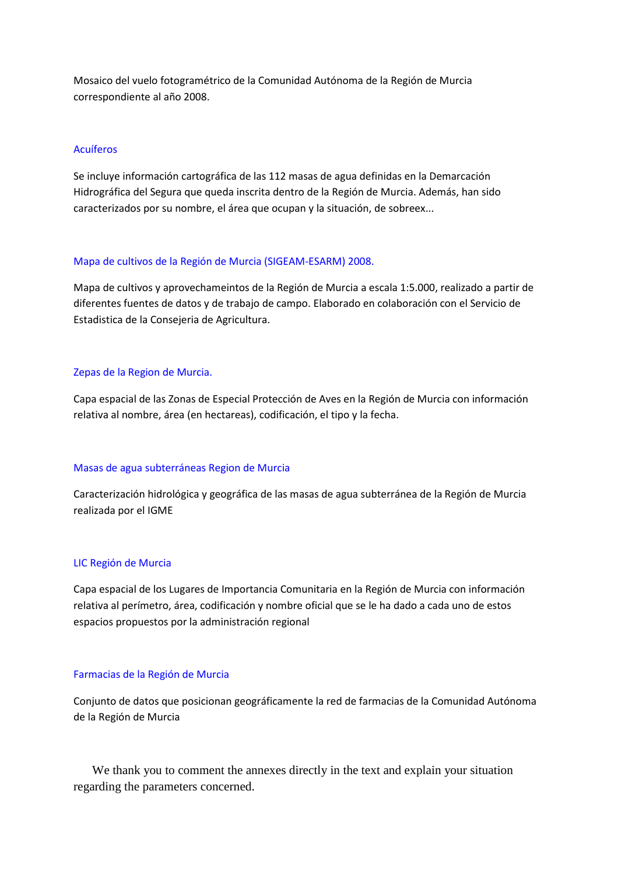Mosaico del vuelo fotogramétrico de la Comunidad Autónoma de la Región de Murcia correspondiente al año 2008.

#### Acuíferos

Se incluye información cartográfica de las 112 masas de agua definidas en la Demarcación Hidrográfica del Segura que queda inscrita dentro de la Región de Murcia. Además, han sido caracterizados por su nombre, el área que ocupan y la situación, de sobreex...

#### Mapa de cultivos de la Región de Murcia (SIGEAM-ESARM) 2008.

Mapa de cultivos y aprovechameintos de la Región de Murcia a escala 1:5.000, realizado a partir de diferentes fuentes de datos y de trabajo de campo. Elaborado en colaboración con el Servicio de Estadistica de la Consejeria de Agricultura.

#### Zepas de la Region de Murcia.

Capa espacial de las Zonas de Especial Protección de Aves en la Región de Murcia con información relativa al nombre, área (en hectareas), codificación, el tipo y la fecha.

### Masas de agua subterráneas Region de Murcia

Caracterización hidrológica y geográfica de las masas de agua subterránea de la Región de Murcia realizada por el IGME

#### LIC Región de Murcia

Capa espacial de los Lugares de Importancia Comunitaria en la Región de Murcia con información relativa al perímetro, área, codificación y nombre oficial que se le ha dado a cada uno de estos espacios propuestos por la administración regional

#### Farmacias de la Región de Murcia

Conjunto de datos que posicionan geográficamente la red de farmacias de la Comunidad Autónoma de la Región de Murcia

We thank you to comment the annexes directly in the text and explain your situation regarding the parameters concerned.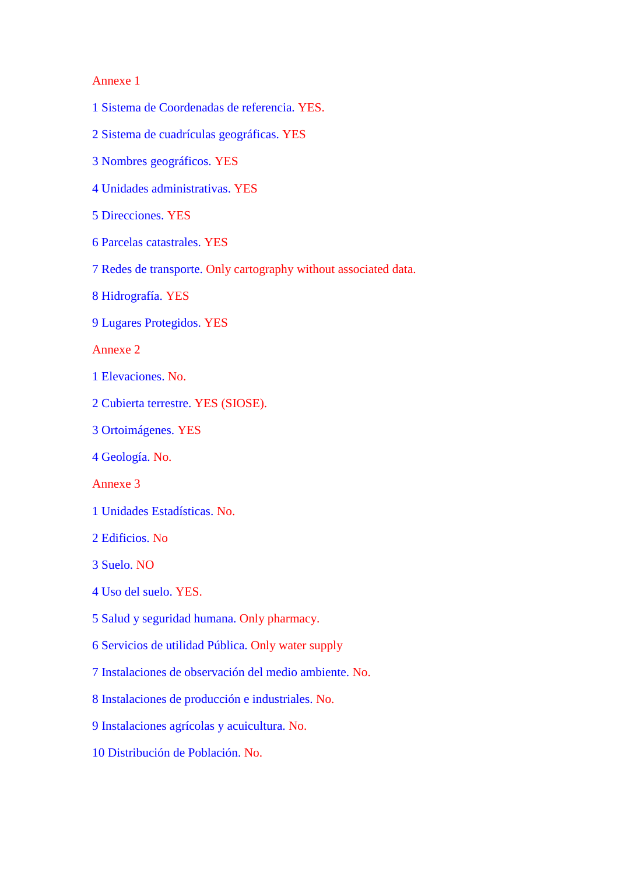### Annexe 1

- 1 Sistema de Coordenadas de referencia. YES.
- 2 Sistema de cuadrículas geográficas. YES
- 3 Nombres geográficos. YES
- 4 Unidades administrativas. YES
- 5 Direcciones. YES
- 6 Parcelas catastrales. YES
- 7 Redes de transporte. Only cartography without associated data.
- 8 Hidrografía. YES
- 9 Lugares Protegidos. YES

Annexe 2

- 1 Elevaciones. No.
- 2 Cubierta terrestre. YES (SIOSE).
- 3 Ortoimágenes. YES
- 4 Geología. No.

Annexe 3

- 1 Unidades Estadísticas. No.
- 2 Edificios. No
- 3 Suelo. NO
- 4 Uso del suelo. YES.
- 5 Salud y seguridad humana. Only pharmacy.
- 6 Servicios de utilidad Pública. Only water supply
- 7 Instalaciones de observación del medio ambiente. No.
- 8 Instalaciones de producción e industriales. No.
- 9 Instalaciones agrícolas y acuicultura. No.
- 10 Distribución de Población. No.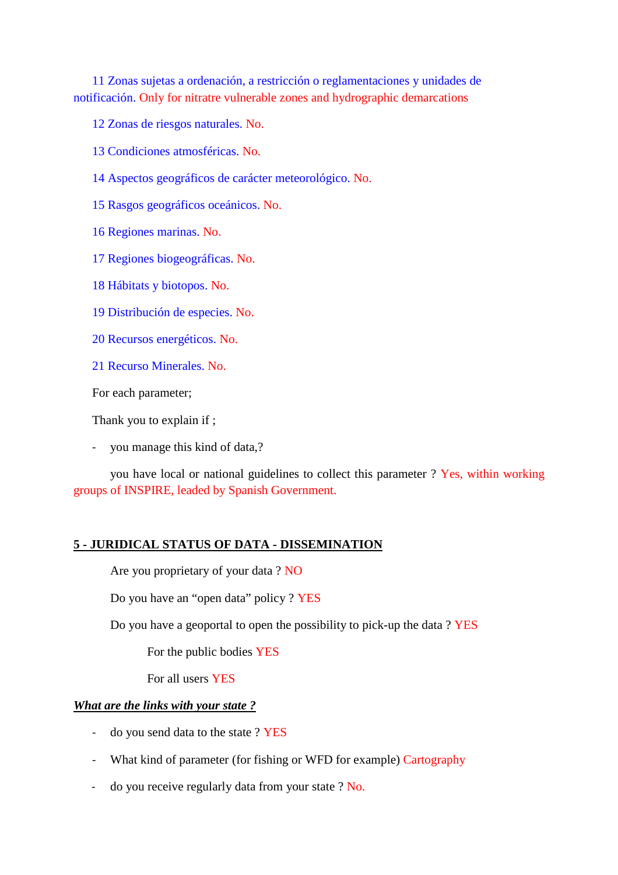11 Zonas sujetas a ordenación, a restricción o reglamentaciones y unidades de notificación. Only for nitratre vulnerable zones and hydrographic demarcations

12 Zonas de riesgos naturales. No.

- 13 Condiciones atmosféricas. No.
- 14 Aspectos geográficos de carácter meteorológico. No.
- 15 Rasgos geográficos oceánicos. No.
- 16 Regiones marinas. No.
- 17 Regiones biogeográficas. No.
- 18 Hábitats y biotopos. No.
- 19 Distribución de especies. No.
- 20 Recursos energéticos. No.
- 21 Recurso Minerales. No.

For each parameter;

Thank you to explain if ;

- you manage this kind of data,?

you have local or national guidelines to collect this parameter ? Yes, within working groups of INSPIRE, leaded by Spanish Government.

### **5 - JURIDICAL STATUS OF DATA - DISSEMINATION**

Are you proprietary of your data ? NO

Do you have an "open data" policy ? YES

Do you have a geoportal to open the possibility to pick-up the data ? YES

For the public bodies YES

For all users YES

### *What are the links with your state ?*

- do you send data to the state ? YES
- What kind of parameter (for fishing or WFD for example) Cartography
- do you receive regularly data from your state ? No.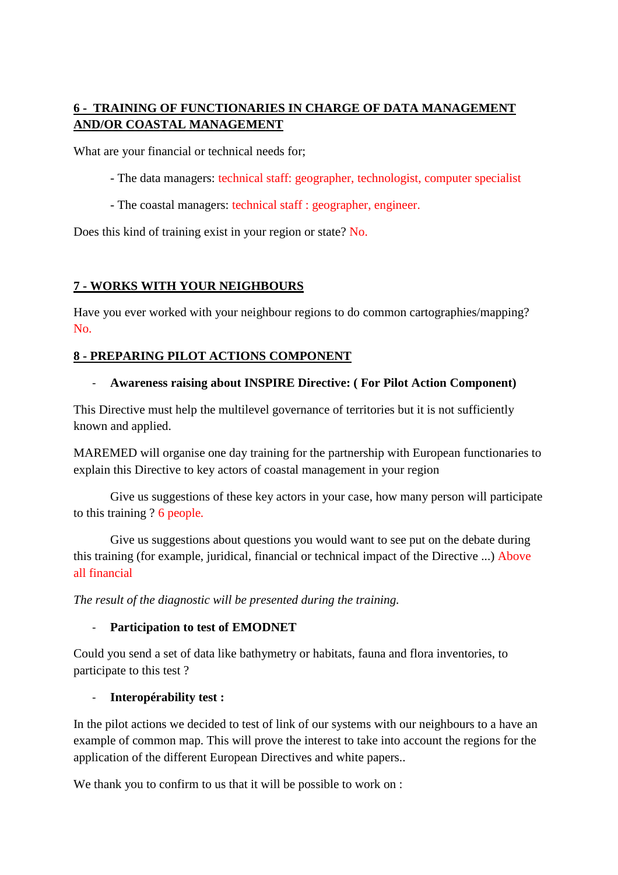### **6 - TRAINING OF FUNCTIONARIES IN CHARGE OF DATA MANAGEMENT AND/OR COASTAL MANAGEMENT**

What are your financial or technical needs for;

- The data managers: technical staff: geographer, technologist, computer specialist
- The coastal managers: technical staff : geographer, engineer.

Does this kind of training exist in your region or state? No.

### **7 - WORKS WITH YOUR NEIGHBOURS**

Have you ever worked with your neighbour regions to do common cartographies/mapping? No.

### **8 - PREPARING PILOT ACTIONS COMPONENT**

### - **Awareness raising about INSPIRE Directive: ( For Pilot Action Component)**

This Directive must help the multilevel governance of territories but it is not sufficiently known and applied.

MAREMED will organise one day training for the partnership with European functionaries to explain this Directive to key actors of coastal management in your region

 Give us suggestions of these key actors in your case, how many person will participate to this training ? 6 people.

 Give us suggestions about questions you would want to see put on the debate during this training (for example, juridical, financial or technical impact of the Directive ...) Above all financial

*The result of the diagnostic will be presented during the training.* 

### - **Participation to test of EMODNET**

Could you send a set of data like bathymetry or habitats, fauna and flora inventories, to participate to this test ?

### - **Interopérability test :**

In the pilot actions we decided to test of link of our systems with our neighbours to a have an example of common map. This will prove the interest to take into account the regions for the application of the different European Directives and white papers..

We thank you to confirm to us that it will be possible to work on :